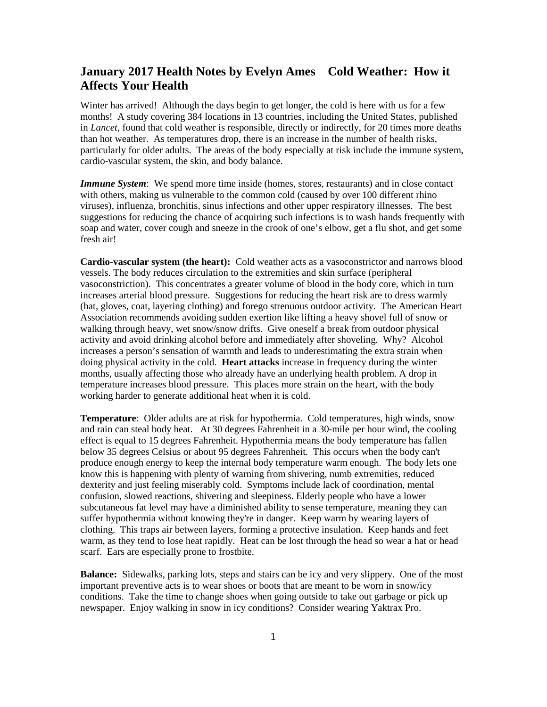## **January 2017 Health Notes by Evelyn Ames Cold Weather: How it Affects Your Health**

Winter has arrived! Although the days begin to get longer, the cold is here with us for a few months! A study covering 384 locations in 13 countries, including the United States, published in *Lancet*, found that cold weather is responsible, directly or indirectly, for 20 times more deaths than hot weather. As temperatures drop, there is an increase in the number of health risks, particularly for older adults. The areas of the body especially at risk include the immune system, cardio-vascular system, the skin, and body balance.

*Immune System*: We spend more time inside (homes, stores, restaurants) and in close contact with others, making us vulnerable to the common cold (caused by over 100 different rhino viruses), influenza, bronchitis, sinus infections and other upper respiratory illnesses. The best suggestions for reducing the chance of acquiring such infections is to wash hands frequently with soap and water, cover cough and sneeze in the crook of one's elbow, get a flu shot, and get some fresh air!

**Cardio-vascular system (the heart):** Cold weather acts as a vasoconstrictor and narrows blood vessels. The body reduces circulation to the extremities and skin surface (peripheral vasoconstriction). This concentrates a greater volume of blood in the body core, which in turn increases arterial blood pressure. Suggestions for reducing the heart risk are to dress warmly (hat, gloves, coat, layering clothing) and forego strenuous outdoor activity. The American Heart Association recommends avoiding sudden exertion like lifting a heavy shovel full of snow or walking through heavy, wet snow/snow drifts. Give oneself a break from outdoor physical activity and avoid drinking alcohol before and immediately after shoveling. Why? Alcohol increases a person's sensation of warmth and leads to underestimating the extra strain when doing physical activity in the cold. **Heart attacks** increase in frequency during the winter months, usually affecting those who already have an underlying health problem. A drop in temperature increases blood pressure. This places more strain on the heart, with the body working harder to generate additional heat when it is cold.

**Temperature**: Older adults are at risk for hypothermia. Cold temperatures, high winds, snow and rain can steal body heat. At 30 degrees Fahrenheit in a 30-mile per hour wind, the cooling effect is equal to 15 degrees Fahrenheit. Hypothermia means the body temperature has fallen below 35 degrees Celsius or about 95 degrees Fahrenheit. This occurs when the body can't produce enough energy to keep the internal body temperature warm enough. The body lets one know this is happening with plenty of warning from shivering, numb extremities, reduced dexterity and just feeling miserably cold. Symptoms include lack of coordination, mental confusion, slowed reactions, shivering and sleepiness. Elderly people who have a lower subcutaneous fat level may have a diminished ability to sense temperature, meaning they can suffer hypothermia without knowing they're in danger. Keep warm by wearing layers of clothing. This traps air between layers, forming a protective insulation. Keep hands and feet warm, as they tend to lose heat rapidly. Heat can be lost through the head so wear a hat or head scarf. Ears are especially prone to frostbite.

**Balance:** Sidewalks, parking lots, steps and stairs can be icy and very slippery. One of the most important preventive acts is to wear shoes or boots that are meant to be worn in snow/icy conditions. Take the time to change shoes when going outside to take out garbage or pick up newspaper. Enjoy walking in snow in icy conditions? Consider wearing Yaktrax Pro.